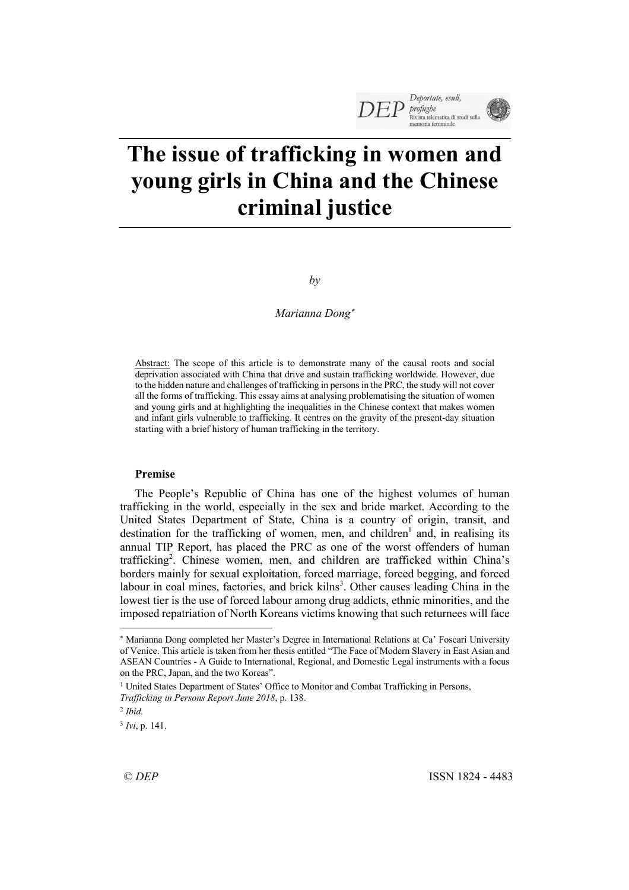# **The issue of trafficking in women and young girls in China and the Chinese criminal justice**

*by*

# *Marianna Dong*\*

Abstract: The scope of this article is to demonstrate many of the causal roots and social deprivation associated with China that drive and sustain trafficking worldwide. However, due to the hidden nature and challenges of trafficking in persons in the PRC, the study will not cover all the forms of trafficking. This essay aims at analysing problematising the situation of women and young girls and at highlighting the inequalities in the Chinese context that makes women and infant girls vulnerable to trafficking. It centres on the gravity of the present-day situation starting with a brief history of human trafficking in the territory.

# **Premise**

The People's Republic of China has one of the highest volumes of human trafficking in the world, especially in the sex and bride market. According to the United States Department of State, China is a country of origin, transit, and destination for the trafficking of women, men, and children<sup>1</sup> and, in realising its annual TIP Report, has placed the PRC as one of the worst offenders of human trafficking2 . Chinese women, men, and children are trafficked within China's borders mainly for sexual exploitation, forced marriage, forced begging, and forced labour in coal mines, factories, and brick kilns<sup>3</sup>. Other causes leading China in the lowest tier is the use of forced labour among drug addicts, ethnic minorities, and the imposed repatriation of North Koreans victims knowing that such returnees will face

<sup>3</sup> *Ivi*, p. 141.

<sup>\*</sup> Marianna Dong completed her Master's Degree in International Relations at Ca' Foscari University of Venice. This article is taken from her thesis entitled "The Face of Modern Slavery in East Asian and ASEAN Countries - A Guide to International, Regional, and Domestic Legal instruments with a focus on the PRC, Japan, and the two Koreas".

<sup>&</sup>lt;sup>1</sup> United States Department of States' Office to Monitor and Combat Trafficking in Persons, *Trafficking in Persons Report June 2018*, p. 138.

<sup>2</sup> *Ibid.*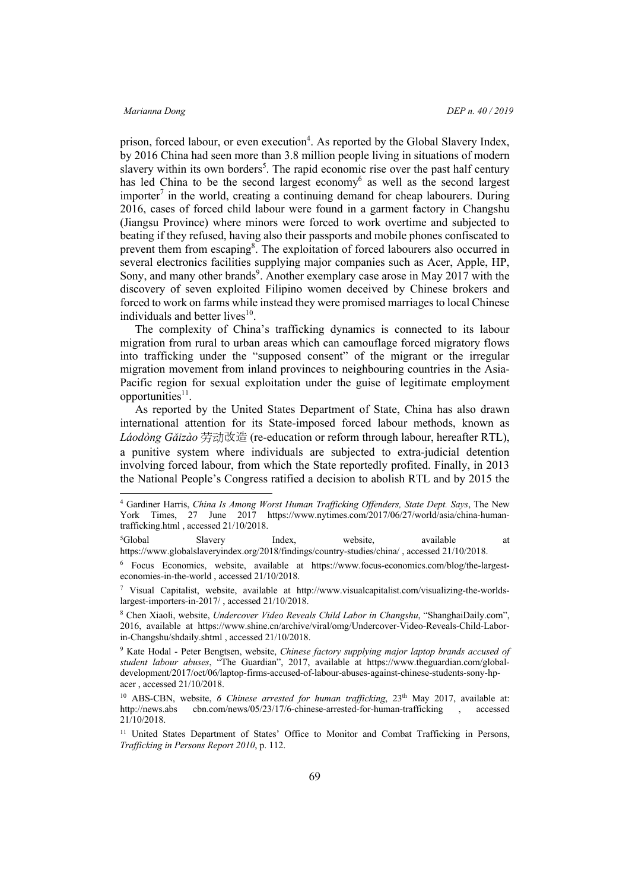prison, forced labour, or even execution<sup>4</sup>. As reported by the Global Slavery Index, by 2016 China had seen more than 3.8 million people living in situations of modern slavery within its own borders<sup>5</sup>. The rapid economic rise over the past half century has led China to be the second largest economy<sup>6</sup> as well as the second largest importer<sup>7</sup> in the world, creating a continuing demand for cheap labourers. During 2016, cases of forced child labour were found in a garment factory in Changshu (Jiangsu Province) where minors were forced to work overtime and subjected to beating if they refused, having also their passports and mobile phones confiscated to prevent them from escaping<sup>8</sup>. The exploitation of forced labourers also occurred in several electronics facilities supplying major companies such as Acer, Apple, HP, Sony, and many other brands<sup>9</sup>. Another exemplary case arose in May 2017 with the discovery of seven exploited Filipino women deceived by Chinese brokers and forced to work on farms while instead they were promised marriages to local Chinese individuals and better lives $10$ .

The complexity of China's trafficking dynamics is connected to its labour migration from rural to urban areas which can camouflage forced migratory flows into trafficking under the "supposed consent" of the migrant or the irregular migration movement from inland provinces to neighbouring countries in the Asia-Pacific region for sexual exploitation under the guise of legitimate employment opportunities $11$ .

As reported by the United States Department of State, China has also drawn international attention for its State-imposed forced labour methods, known as *Láodòng Gǎizào* 劳动改造 (re-education or reform through labour, hereafter RTL), a punitive system where individuals are subjected to extra-judicial detention involving forced labour, from which the State reportedly profited. Finally, in 2013 the National People's Congress ratified a decision to abolish RTL and by 2015 the

 <sup>4</sup> Gardiner Harris, *China Is Among Worst Human Trafficking Offenders, State Dept. Says*, The New York Times, 27 June 2017 https://www.nytimes.com/2017/06/27/world/asia/china-humantrafficking.html , accessed 21/10/2018.

<sup>&</sup>lt;sup>5</sup>Global Slavery Index, website, available at https://www.globalslaveryindex.org/2018/findings/country-studies/china/ , accessed 21/10/2018.

<sup>6</sup> Focus Economics, website, available at https://www.focus-economics.com/blog/the-largesteconomies-in-the-world , accessed 21/10/2018.

<sup>7</sup> Visual Capitalist, website, available at http://www.visualcapitalist.com/visualizing-the-worldslargest-importers-in-2017/ , accessed 21/10/2018.

<sup>8</sup> Chen Xiaoli, website, *Undercover Video Reveals Child Labor in Changshu*, "ShanghaiDaily.com", 2016, available at https://www.shine.cn/archive/viral/omg/Undercover-Video-Reveals-Child-Laborin-Changshu/shdaily.shtml , accessed 21/10/2018.

<sup>9</sup> Kate Hodal - Peter Bengtsen, website, *Chinese factory supplying major laptop brands accused of student labour abuses*, "The Guardian", 2017, available at https://www.theguardian.com/globaldevelopment/2017/oct/06/laptop-firms-accused-of-labour-abuses-against-chinese-students-sony-hpacer , accessed 21/10/2018.

<sup>&</sup>lt;sup>10</sup> ABS-CBN, website, *6 Chinese arrested for human trafficking*, 23<sup>th</sup> May 2017, available at: http://news.abs cbn.com/news/05/23/17/6-chinese-arrested-for-human-trafficking , accessed 21/10/2018.

<sup>&</sup>lt;sup>11</sup> United States Department of States' Office to Monitor and Combat Trafficking in Persons, *Trafficking in Persons Report 2010*, p. 112.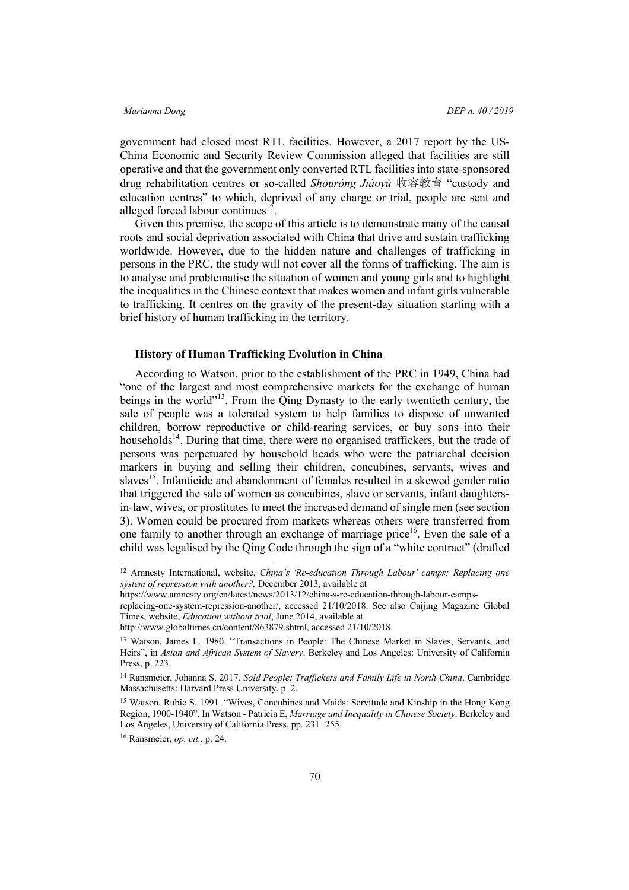government had closed most RTL facilities. However, a 2017 report by the US-China Economic and Security Review Commission alleged that facilities are still operative and that the government only converted RTL facilities into state-sponsored drug rehabilitation centres or so-called *Shōuróng Jiàoyù* 收容教育 "custody and education centres" to which, deprived of any charge or trial, people are sent and alleged forced labour continues<sup>12</sup>.

Given this premise, the scope of this article is to demonstrate many of the causal roots and social deprivation associated with China that drive and sustain trafficking worldwide. However, due to the hidden nature and challenges of trafficking in persons in the PRC, the study will not cover all the forms of trafficking. The aim is to analyse and problematise the situation of women and young girls and to highlight the inequalities in the Chinese context that makes women and infant girls vulnerable to trafficking. It centres on the gravity of the present-day situation starting with a brief history of human trafficking in the territory.

# **History of Human Trafficking Evolution in China**

According to Watson, prior to the establishment of the PRC in 1949, China had "one of the largest and most comprehensive markets for the exchange of human beings in the world"<sup>13</sup>. From the Oing Dynasty to the early twentieth century, the sale of people was a tolerated system to help families to dispose of unwanted children, borrow reproductive or child-rearing services, or buy sons into their households<sup>14</sup>. During that time, there were no organised traffickers, but the trade of persons was perpetuated by household heads who were the patriarchal decision markers in buying and selling their children, concubines, servants, wives and slaves<sup>15</sup>. Infanticide and abandonment of females resulted in a skewed gender ratio that triggered the sale of women as concubines, slave or servants, infant daughtersin-law, wives, or prostitutes to meet the increased demand of single men (see section 3). Women could be procured from markets whereas others were transferred from one family to another through an exchange of marriage price<sup>16</sup>. Even the sale of a child was legalised by the Qing Code through the sign of a "white contract" (drafted

 <sup>12</sup> Amnesty International, website, *China's 'Re-education Through Labour' camps: Replacing one system of repression with another?,* December 2013, available at

https://www.amnesty.org/en/latest/news/2013/12/china-s-re-education-through-labour-camps-

replacing-one-system-repression-another/, accessed 21/10/2018. See also Caijing Magazine Global Times, website, *Education without trial*, June 2014, available at

http://www.globaltimes.cn/content/863879.shtml, accessed 21/10/2018.

<sup>13</sup> Watson, James L. 1980. "Transactions in People: The Chinese Market in Slaves, Servants, and Heirs", in *Asian and African System of Slavery*. Berkeley and Los Angeles: University of California Press, p. 223.

<sup>14</sup> Ransmeier, Johanna S. 2017. *Sold People: Traffickers and Family Life in North China*. Cambridge Massachusetts: Harvard Press University, p. 2.

<sup>&</sup>lt;sup>15</sup> Watson, Rubie S. 1991. "Wives, Concubines and Maids: Servitude and Kinship in the Hong Kong Region, 1900-1940". In Watson - Patricia E, *Marriage and Inequality in Chinese Society*. Berkeley and Los Angeles, University of California Press, pp. 231−255.

<sup>16</sup> Ransmeier, *op. cit.,* p. 24.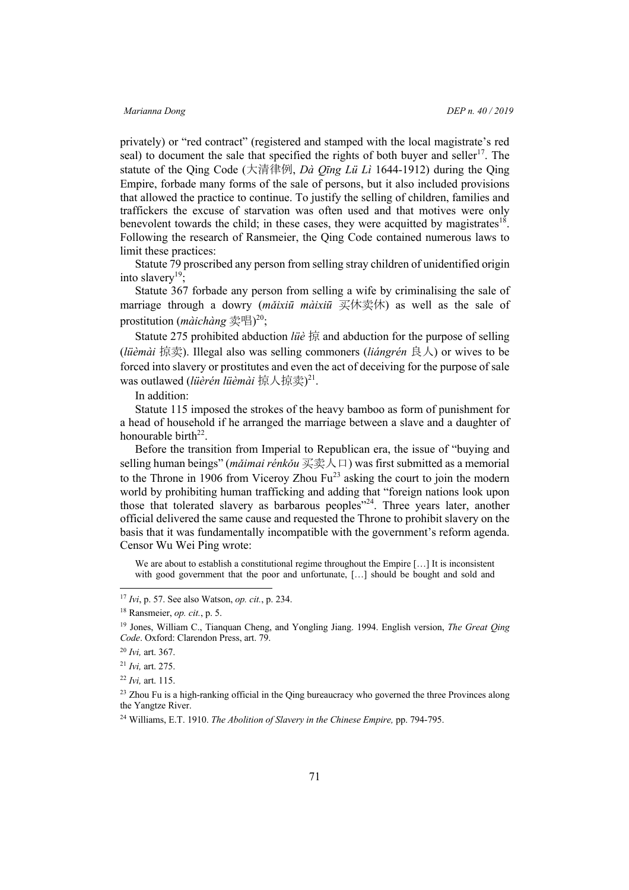privately) or "red contract" (registered and stamped with the local magistrate's red seal) to document the sale that specified the rights of both buyer and seller<sup>17</sup>. The statute of the Qing Code (大清律例, *Dà Qīng Lü Lì* 1644-1912) during the Qing Empire, forbade many forms of the sale of persons, but it also included provisions that allowed the practice to continue. To justify the selling of children, families and traffickers the excuse of starvation was often used and that motives were only benevolent towards the child; in these cases, they were acquitted by magistrates<sup>18</sup>. Following the research of Ransmeier, the Qing Code contained numerous laws to limit these practices:

Statute 79 proscribed any person from selling stray children of unidentified origin into slavery<sup>19</sup>;

Statute 367 forbade any person from selling a wife by criminalising the sale of marriage through a dowry (*mǎixiū màixiū* 买休卖休) as well as the sale of prostitution (*màichàng* 卖唱) 20;

Statute 275 prohibited abduction *lüè* 掠 and abduction for the purpose of selling (*lüèmài* 掠卖). Illegal also was selling commoners (*liángrén* 良人) or wives to be forced into slavery or prostitutes and even the act of deceiving for the purpose of sale was outlawed (*lüèrén lüèmài* 掠人掠卖) 21.

In addition:

Statute 115 imposed the strokes of the heavy bamboo as form of punishment for a head of household if he arranged the marriage between a slave and a daughter of honourable birth<sup>22</sup>.

Before the transition from Imperial to Republican era, the issue of "buying and selling human beings" (*mǎimai rénkǒu* 买卖人口) was first submitted as a memorial to the Throne in 1906 from Viceroy Zhou  $Fu^{23}$  asking the court to join the modern world by prohibiting human trafficking and adding that "foreign nations look upon those that tolerated slavery as barbarous peoples $^{324}$ . Three years later, another official delivered the same cause and requested the Throne to prohibit slavery on the basis that it was fundamentally incompatible with the government's reform agenda. Censor Wu Wei Ping wrote:

We are about to establish a constitutional regime throughout the Empire [...] It is inconsistent with good government that the poor and unfortunate, [...] should be bought and sold and

 <sup>17</sup> *Ivi*, p. 57. See also Watson, *op. cit.*, p. 234.

<sup>18</sup> Ransmeier, *op. cit.*, p. 5.

<sup>19</sup> Jones, William C., Tianquan Cheng, and Yongling Jiang. 1994. English version, *The Great Qing Code*. Oxford: Clarendon Press, art. 79.

<sup>20</sup> *Ivi,* art. 367.

<sup>21</sup> *Ivi,* art. 275.

<sup>22</sup> *Ivi,* art. 115.

<sup>&</sup>lt;sup>23</sup> Zhou Fu is a high-ranking official in the Qing bureaucracy who governed the three Provinces along the Yangtze River.

<sup>&</sup>lt;sup>24</sup> Williams, E.T. 1910. *The Abolition of Slavery in the Chinese Empire*, pp. 794-795.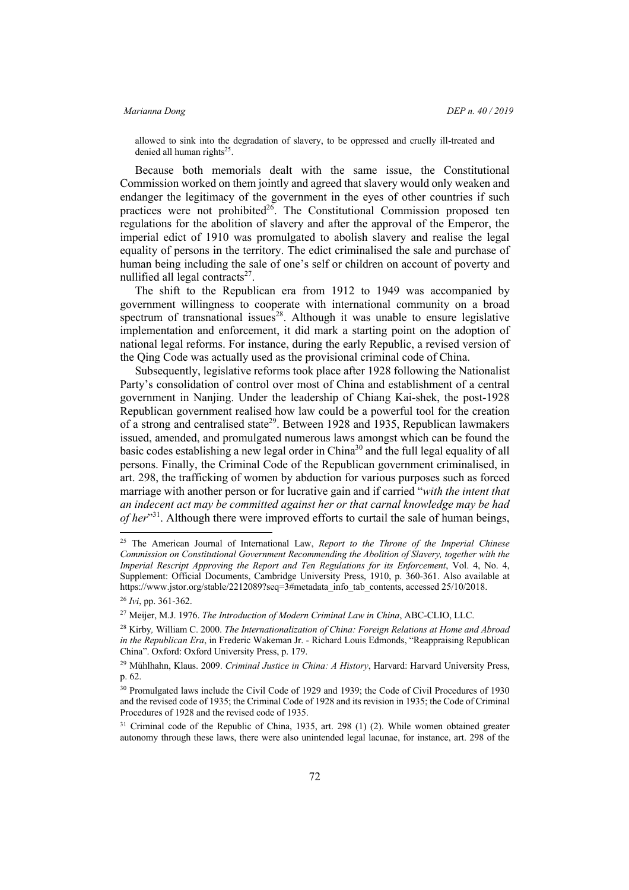allowed to sink into the degradation of slavery, to be oppressed and cruelly ill-treated and denied all human rights<sup>25</sup>.

Because both memorials dealt with the same issue, the Constitutional Commission worked on them jointly and agreed that slavery would only weaken and endanger the legitimacy of the government in the eyes of other countries if such practices were not prohibited<sup>26</sup>. The Constitutional Commission proposed ten regulations for the abolition of slavery and after the approval of the Emperor, the imperial edict of 1910 was promulgated to abolish slavery and realise the legal equality of persons in the territory. The edict criminalised the sale and purchase of human being including the sale of one's self or children on account of poverty and nullified all legal contracts $2^7$ .

The shift to the Republican era from 1912 to 1949 was accompanied by government willingness to cooperate with international community on a broad spectrum of transnational issues<sup>28</sup>. Although it was unable to ensure legislative implementation and enforcement, it did mark a starting point on the adoption of national legal reforms. For instance, during the early Republic, a revised version of the Qing Code was actually used as the provisional criminal code of China.

Subsequently, legislative reforms took place after 1928 following the Nationalist Party's consolidation of control over most of China and establishment of a central government in Nanjing. Under the leadership of Chiang Kai-shek, the post-1928 Republican government realised how law could be a powerful tool for the creation of a strong and centralised state<sup>29</sup>. Between 1928 and 1935, Republican lawmakers issued, amended, and promulgated numerous laws amongst which can be found the basic codes establishing a new legal order in China<sup>30</sup> and the full legal equality of all persons. Finally, the Criminal Code of the Republican government criminalised, in art. 298, the trafficking of women by abduction for various purposes such as forced marriage with another person or for lucrative gain and if carried "*with the intent that an indecent act may be committed against her or that carnal knowledge may be had of her*<sup>31</sup>. Although there were improved efforts to curtail the sale of human beings,

 <sup>25</sup> The American Journal of International Law, *Report to the Throne of the Imperial Chinese Commission on Constitutional Government Recommending the Abolition of Slavery, together with the Imperial Rescript Approving the Report and Ten Regulations for its Enforcement*, Vol. 4, No. 4, Supplement: Official Documents, Cambridge University Press, 1910, p. 360-361. Also available at https://www.jstor.org/stable/2212089?seq=3#metadata\_info\_tab\_contents, accessed 25/10/2018.

<sup>26</sup> *Ivi*, pp. 361-362.

<sup>27</sup> Meijer, M.J. 1976. *The Introduction of Modern Criminal Law in China*, ABC-CLIO, LLC.

<sup>28</sup> Kirby*,* William C. 2000. *The Internationalization of China: Foreign Relations at Home and Abroad in the Republican Era*, in Frederic Wakeman Jr. - Richard Louis Edmonds, "Reappraising Republican China". Oxford: Oxford University Press, p. 179.

<sup>29</sup> Mühlhahn, Klaus. 2009. *Criminal Justice in China: A History*, Harvard: Harvard University Press, p. 62.

<sup>30</sup> Promulgated laws include the Civil Code of 1929 and 1939; the Code of Civil Procedures of 1930 and the revised code of 1935; the Criminal Code of 1928 and its revision in 1935; the Code of Criminal Procedures of 1928 and the revised code of 1935.

<sup>&</sup>lt;sup>31</sup> Criminal code of the Republic of China, 1935, art. 298 (1) (2). While women obtained greater autonomy through these laws, there were also unintended legal lacunae, for instance, art. 298 of the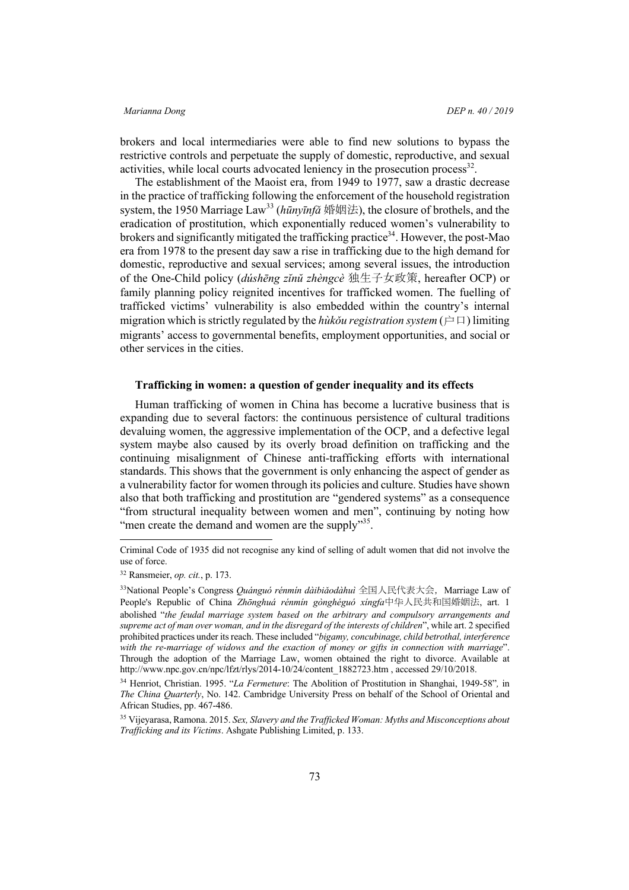brokers and local intermediaries were able to find new solutions to bypass the restrictive controls and perpetuate the supply of domestic, reproductive, and sexual activities, while local courts advocated leniency in the prosecution process<sup>32</sup>.

The establishment of the Maoist era, from 1949 to 1977, saw a drastic decrease in the practice of trafficking following the enforcement of the household registration system, the 1950 Marriage Law<sup>33</sup> (*hūnyīnfǎ* 婚姻法), the closure of brothels, and the eradication of prostitution, which exponentially reduced women's vulnerability to brokers and significantly mitigated the trafficking practice<sup>34</sup>. However, the post-Mao era from 1978 to the present day saw a rise in trafficking due to the high demand for domestic, reproductive and sexual services; among several issues, the introduction of the One-Child policy (*dúshēng zĭnŭ zhèngcè* 独生子女政策, hereafter OCP) or family planning policy reignited incentives for trafficked women. The fuelling of trafficked victims' vulnerability is also embedded within the country's internal migration which is strictly regulated by the *hùkǒu registration system* (户口) limiting migrants' access to governmental benefits, employment opportunities, and social or other services in the cities.

# **Trafficking in women: a question of gender inequality and its effects**

Human trafficking of women in China has become a lucrative business that is expanding due to several factors: the continuous persistence of cultural traditions devaluing women, the aggressive implementation of the OCP, and a defective legal system maybe also caused by its overly broad definition on trafficking and the continuing misalignment of Chinese anti-trafficking efforts with international standards. This shows that the government is only enhancing the aspect of gender as a vulnerability factor for women through its policies and culture. Studies have shown also that both trafficking and prostitution are "gendered systems" as a consequence "from structural inequality between women and men", continuing by noting how "men create the demand and women are the supply"<sup>35</sup>.

Criminal Code of 1935 did not recognise any kind of selling of adult women that did not involve the use of force.

<sup>32</sup> Ransmeier, *op. cit.*, p. 173.

<sup>&</sup>lt;sup>33</sup>National People's Congress *Quánguó rénmín dàibiǎodàhuì* 全国人民代表大会, Marriage Law of People's Republic of China *Zhōnghuá rénmín gònghéguó xíngfa*中华人民共和国婚姻法, art. 1 abolished "*the feudal marriage system based on the arbitrary and compulsory arrangements and supreme act of man over woman, and in the disregard of the interests of children*", while art. 2 specified prohibited practices under its reach. These included "*bigamy, concubinage, child betrothal, interference with the re-marriage of widows and the exaction of money or gifts in connection with marriage*". Through the adoption of the Marriage Law, women obtained the right to divorce. Available at http://www.npc.gov.cn/npc/lfzt/rlys/2014-10/24/content\_1882723.htm , accessed 29/10/2018.

<sup>34</sup> Henriot, Christian. 1995. "*La Fermeture*: The Abolition of Prostitution in Shanghai, 1949-58"*,* in *The China Quarterly*, No. 142. Cambridge University Press on behalf of the School of Oriental and African Studies, pp. 467-486.

<sup>35</sup> Vijeyarasa, Ramona. 2015. *Sex, Slavery and the Trafficked Woman: Myths and Misconceptions about Trafficking and its Victims*. Ashgate Publishing Limited, p. 133.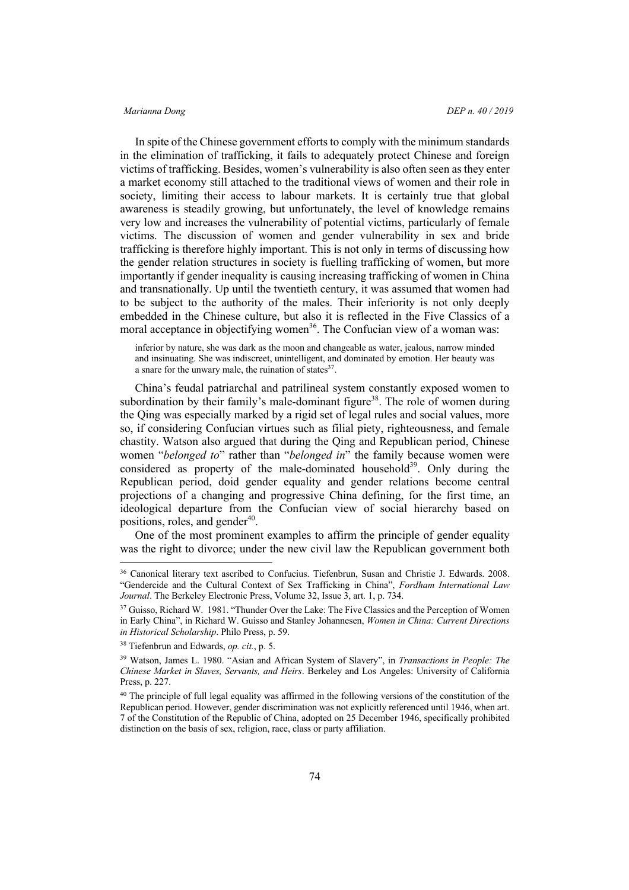In spite of the Chinese government efforts to comply with the minimum standards in the elimination of trafficking, it fails to adequately protect Chinese and foreign victims of trafficking. Besides, women's vulnerability is also often seen as they enter a market economy still attached to the traditional views of women and their role in society, limiting their access to labour markets. It is certainly true that global awareness is steadily growing, but unfortunately, the level of knowledge remains very low and increases the vulnerability of potential victims, particularly of female victims. The discussion of women and gender vulnerability in sex and bride trafficking is therefore highly important. This is not only in terms of discussing how the gender relation structures in society is fuelling trafficking of women, but more importantly if gender inequality is causing increasing trafficking of women in China and transnationally. Up until the twentieth century, it was assumed that women had to be subject to the authority of the males. Their inferiority is not only deeply embedded in the Chinese culture, but also it is reflected in the Five Classics of a moral acceptance in objectifying women<sup>36</sup>. The Confucian view of a woman was:

inferior by nature, she was dark as the moon and changeable as water, jealous, narrow minded and insinuating. She was indiscreet, unintelligent, and dominated by emotion. Her beauty was a snare for the unwary male, the ruination of states $37$ .

China's feudal patriarchal and patrilineal system constantly exposed women to subordination by their family's male-dominant figure<sup>38</sup>. The role of women during the Qing was especially marked by a rigid set of legal rules and social values, more so, if considering Confucian virtues such as filial piety, righteousness, and female chastity. Watson also argued that during the Qing and Republican period, Chinese women "*belonged to*" rather than "*belonged in*" the family because women were considered as property of the male-dominated household<sup>39</sup>. Only during the Republican period, doid gender equality and gender relations become central projections of a changing and progressive China defining, for the first time, an ideological departure from the Confucian view of social hierarchy based on positions, roles, and gender $40$ .

One of the most prominent examples to affirm the principle of gender equality was the right to divorce; under the new civil law the Republican government both

 <sup>36</sup> Canonical literary text ascribed to Confucius. Tiefenbrun, Susan and Christie J. Edwards. 2008. "Gendercide and the Cultural Context of Sex Trafficking in China", *Fordham International Law Journal*. The Berkeley Electronic Press, Volume 32, Issue 3, art. 1, p. 734.

<sup>&</sup>lt;sup>37</sup> Guisso, Richard W. 1981. "Thunder Over the Lake: The Five Classics and the Perception of Women in Early China", in Richard W. Guisso and Stanley Johannesen, *Women in China: Current Directions in Historical Scholarship*. Philo Press, p. 59.

<sup>38</sup> Tiefenbrun and Edwards, *op. cit.*, p. 5.

<sup>39</sup> Watson, James L. 1980. "Asian and African System of Slavery", in *Transactions in People: The Chinese Market in Slaves, Servants, and Heirs*. Berkeley and Los Angeles: University of California Press, p. 227.

<sup>&</sup>lt;sup>40</sup> The principle of full legal equality was affirmed in the following versions of the constitution of the Republican period. However, gender discrimination was not explicitly referenced until 1946, when art. 7 of the Constitution of the Republic of China, adopted on 25 December 1946, specifically prohibited distinction on the basis of sex, religion, race, class or party affiliation.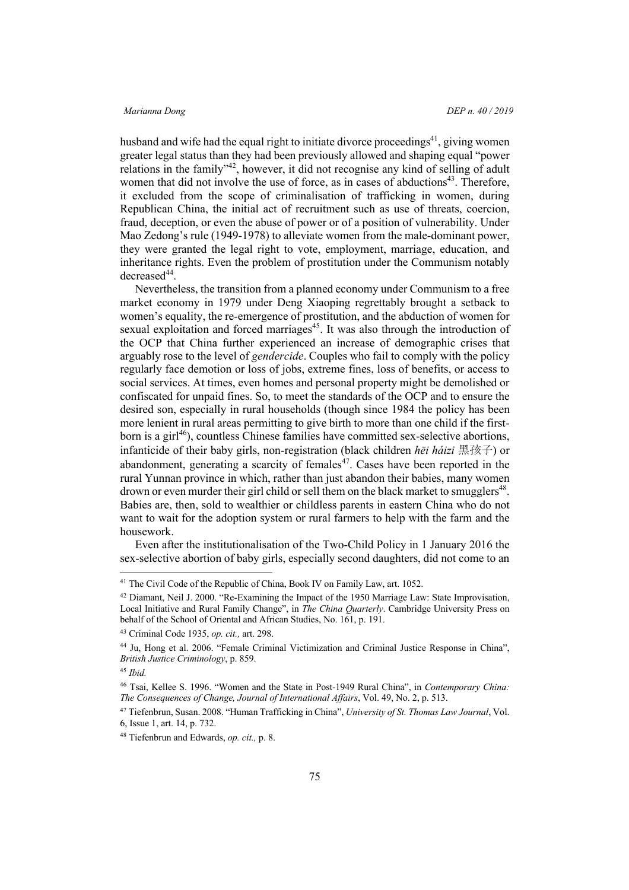husband and wife had the equal right to initiate divorce proceedings<sup>41</sup>, giving women greater legal status than they had been previously allowed and shaping equal "power relations in the family"42, however, it did not recognise any kind of selling of adult women that did not involve the use of force, as in cases of abductions<sup>43</sup>. Therefore, it excluded from the scope of criminalisation of trafficking in women, during Republican China, the initial act of recruitment such as use of threats, coercion, fraud, deception, or even the abuse of power or of a position of vulnerability. Under Mao Zedong's rule (1949-1978) to alleviate women from the male-dominant power, they were granted the legal right to vote, employment, marriage, education, and inheritance rights. Even the problem of prostitution under the Communism notably  $decreased<sup>44</sup>$ .

Nevertheless, the transition from a planned economy under Communism to a free market economy in 1979 under Deng Xiaoping regrettably brought a setback to women's equality, the re-emergence of prostitution, and the abduction of women for sexual exploitation and forced marriages<sup>45</sup>. It was also through the introduction of the OCP that China further experienced an increase of demographic crises that arguably rose to the level of *gendercide*. Couples who fail to comply with the policy regularly face demotion or loss of jobs, extreme fines, loss of benefits, or access to social services. At times, even homes and personal property might be demolished or confiscated for unpaid fines. So, to meet the standards of the OCP and to ensure the desired son, especially in rural households (though since 1984 the policy has been more lenient in rural areas permitting to give birth to more than one child if the firstborn is a girl $^{46}$ ), countless Chinese families have committed sex-selective abortions, infanticide of their baby girls, non-registration (black children *hēi háizi* 黑孩子) or abandonment, generating a scarcity of females<sup>47</sup>. Cases have been reported in the rural Yunnan province in which, rather than just abandon their babies, many women drown or even murder their girl child or sell them on the black market to smugglers<sup>48</sup>. Babies are, then, sold to wealthier or childless parents in eastern China who do not want to wait for the adoption system or rural farmers to help with the farm and the housework.

Even after the institutionalisation of the Two-Child Policy in 1 January 2016 the sex-selective abortion of baby girls, especially second daughters, did not come to an

<sup>&</sup>lt;sup>41</sup> The Civil Code of the Republic of China, Book IV on Family Law, art. 1052.

<sup>42</sup> Diamant, Neil J. 2000. "Re-Examining the Impact of the 1950 Marriage Law: State Improvisation, Local Initiative and Rural Family Change", in *The China Quarterly*. Cambridge University Press on behalf of the School of Oriental and African Studies, No. 161, p. 191.

<sup>43</sup> Criminal Code 1935, *op. cit.,* art. 298.

<sup>44</sup> Ju, Hong et al. 2006. "Female Criminal Victimization and Criminal Justice Response in China", *British Justice Criminology*, p. 859.

<sup>45</sup> *Ibid.*

<sup>46</sup> Tsai, Kellee S. 1996. "Women and the State in Post-1949 Rural China", in *Contemporary China: The Consequences of Change, Journal of International Affairs*, Vol. 49, No. 2, p. 513.

<sup>47</sup> Tiefenbrun, Susan. 2008. "Human Trafficking in China", *University of St. Thomas Law Journal*, Vol. 6, Issue 1, art. 14, p. 732.

<sup>48</sup> Tiefenbrun and Edwards, *op. cit.,* p. 8.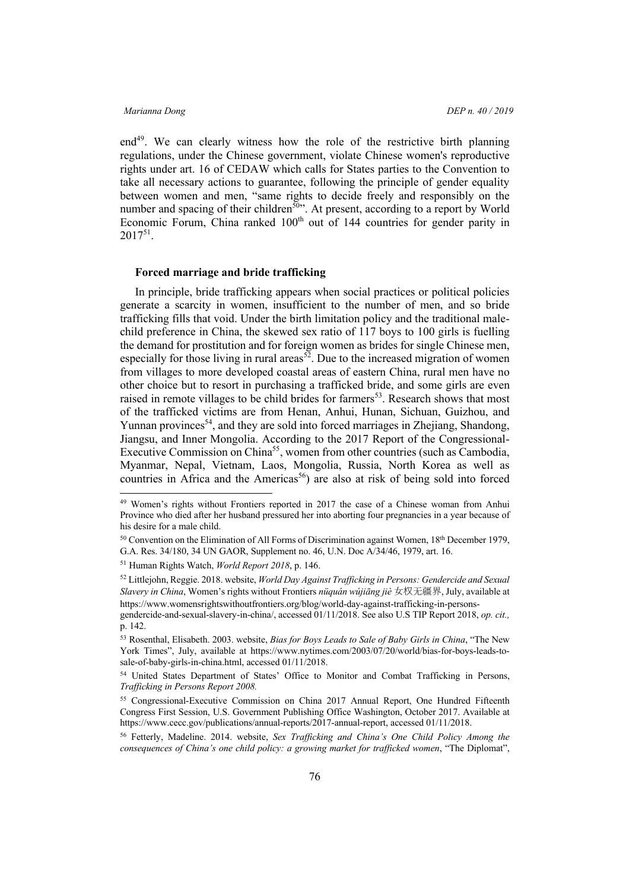end<sup>49</sup>. We can clearly witness how the role of the restrictive birth planning regulations, under the Chinese government, violate Chinese women's reproductive rights under art. 16 of CEDAW which calls for States parties to the Convention to take all necessary actions to guarantee, following the principle of gender equality between women and men, "same rights to decide freely and responsibly on the number and spacing of their children<sup>50</sup>". At present, according to a report by World Economic Forum, China ranked 100<sup>th</sup> out of 144 countries for gender parity in  $2017^{51}$ .

### **Forced marriage and bride trafficking**

In principle, bride trafficking appears when social practices or political policies generate a scarcity in women, insufficient to the number of men, and so bride trafficking fills that void. Under the birth limitation policy and the traditional malechild preference in China, the skewed sex ratio of 117 boys to 100 girls is fuelling the demand for prostitution and for foreign women as brides for single Chinese men, especially for those living in rural areas<sup>52</sup>. Due to the increased migration of women from villages to more developed coastal areas of eastern China, rural men have no other choice but to resort in purchasing a trafficked bride, and some girls are even raised in remote villages to be child brides for farmers<sup>53</sup>. Research shows that most of the trafficked victims are from Henan, Anhui, Hunan, Sichuan, Guizhou, and Yunnan provinces<sup>54</sup>, and they are sold into forced marriages in Zhejiang, Shandong, Jiangsu, and Inner Mongolia. According to the 2017 Report of the Congressional-Executive Commission on China<sup>55</sup>, women from other countries (such as Cambodia, Myanmar, Nepal, Vietnam, Laos, Mongolia, Russia, North Korea as well as countries in Africa and the Americas<sup>56</sup>) are also at risk of being sold into forced

 <sup>49</sup> Women's rights without Frontiers reported in 2017 the case of a Chinese woman from Anhui Province who died after her husband pressured her into aborting four pregnancies in a year because of his desire for a male child.

<sup>50</sup> Convention on the Elimination of All Forms of Discrimination against Women, 18th December 1979, G.A. Res. 34/180, 34 UN GAOR, Supplement no. 46, U.N. Doc A/34/46, 1979, art. 16.

<sup>51</sup> Human Rights Watch, *World Report 2018*, p. 146.

<sup>52</sup> Littlejohn, Reggie. 2018. website, *World Day Against Trafficking in Persons: Gendercide and Sexual Slavery in China*, Women's rights without Frontiers *nüquán wújiāng jiè* 女权无疆界, July, available at https://www.womensrightswithoutfrontiers.org/blog/world-day-against-trafficking-in-persons-

gendercide-and-sexual-slavery-in-china/, accessed 01/11/2018. See also U.S TIP Report 2018, *op. cit.,* p. 142.

<sup>53</sup> Rosenthal, Elisabeth. 2003. website, *Bias for Boys Leads to Sale of Baby Girls in China*, "The New York Times", July, available at https://www.nytimes.com/2003/07/20/world/bias-for-boys-leads-tosale-of-baby-girls-in-china.html, accessed 01/11/2018.

<sup>54</sup> United States Department of States' Office to Monitor and Combat Trafficking in Persons, *Trafficking in Persons Report 2008.*

<sup>55</sup> Congressional-Executive Commission on China 2017 Annual Report, One Hundred Fifteenth Congress First Session, U.S. Government Publishing Office Washington, October 2017. Available at https://www.cecc.gov/publications/annual-reports/2017-annual-report, accessed 01/11/2018.

<sup>56</sup> Fetterly, Madeline. 2014. website, *Sex Trafficking and China's One Child Policy Among the consequences of China's one child policy: a growing market for trafficked women*, "The Diplomat",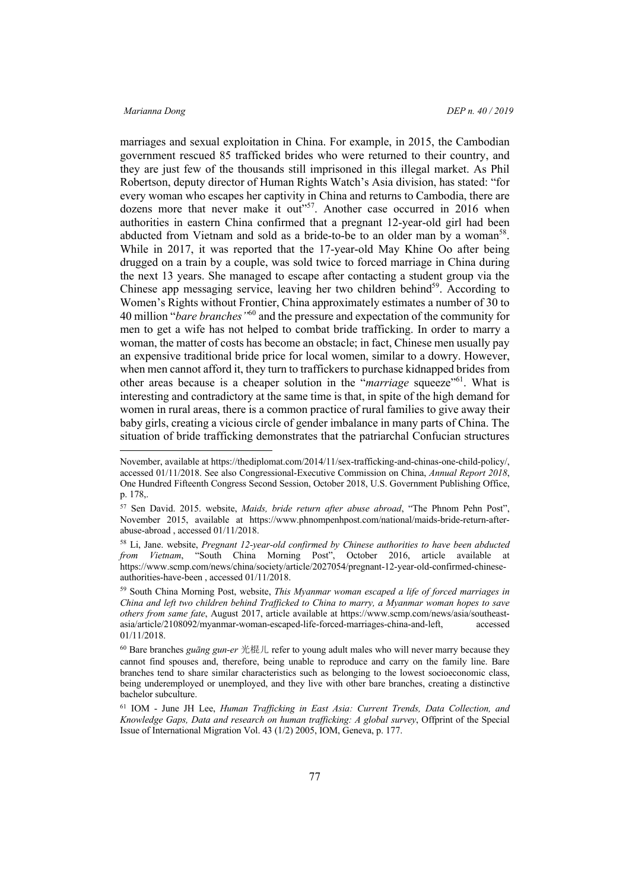marriages and sexual exploitation in China. For example, in 2015, the Cambodian government rescued 85 trafficked brides who were returned to their country, and they are just few of the thousands still imprisoned in this illegal market. As Phil Robertson, deputy director of Human Rights Watch's Asia division, has stated: "for every woman who escapes her captivity in China and returns to Cambodia, there are dozens more that never make it out"<sup>57</sup>. Another case occurred in 2016 when authorities in eastern China confirmed that a pregnant 12-year-old girl had been abducted from Vietnam and sold as a bride-to-be to an older man by a woman<sup>58</sup>. While in 2017, it was reported that the 17-year-old May Khine Oo after being drugged on a train by a couple, was sold twice to forced marriage in China during the next 13 years. She managed to escape after contacting a student group via the Chinese app messaging service, leaving her two children behind<sup>59</sup>. According to Women's Rights without Frontier, China approximately estimates a number of 30 to 40 million "*bare branches"*<sup>60</sup> and the pressure and expectation of the community for men to get a wife has not helped to combat bride trafficking. In order to marry a woman, the matter of costs has become an obstacle; in fact, Chinese men usually pay an expensive traditional bride price for local women, similar to a dowry. However, when men cannot afford it, they turn to traffickers to purchase kidnapped brides from other areas because is a cheaper solution in the "*marriage* squeeze"61. What is interesting and contradictory at the same time is that, in spite of the high demand for women in rural areas, there is a common practice of rural families to give away their baby girls, creating a vicious circle of gender imbalance in many parts of China. The situation of bride trafficking demonstrates that the patriarchal Confucian structures

November, available at https://thediplomat.com/2014/11/sex-trafficking-and-chinas-one-child-policy/, accessed 01/11/2018. See also Congressional-Executive Commission on China, *Annual Report 2018*, One Hundred Fifteenth Congress Second Session, October 2018, U.S. Government Publishing Office, p. 178,.

<sup>57</sup> Sen David. 2015. website, *Maids, bride return after abuse abroad*, "The Phnom Pehn Post", November 2015, available at https://www.phnompenhpost.com/national/maids-bride-return-afterabuse-abroad , accessed 01/11/2018.

<sup>58</sup> Li, Jane. website, *Pregnant 12-year-old confirmed by Chinese authorities to have been abducted from Vietnam*, "South China Morning Post", October 2016, article available at https://www.scmp.com/news/china/society/article/2027054/pregnant-12-year-old-confirmed-chineseauthorities-have-been , accessed 01/11/2018.

<sup>59</sup> South China Morning Post, website, *This Myanmar woman escaped a life of forced marriages in China and left two children behind Trafficked to China to marry, a Myanmar woman hopes to save others from same fate*, August 2017, article available at https://www.scmp.com/news/asia/southeastasia/article/2108092/myanmar-woman-escaped-life-forced-marriages-china-and-left, accessed 01/11/2018.

<sup>60</sup> Bare branches *guāng gun-er* 光棍儿 refer to young adult males who will never marry because they cannot find spouses and, therefore, being unable to reproduce and carry on the family line. Bare branches tend to share similar characteristics such as belonging to the lowest socioeconomic class, being underemployed or unemployed, and they live with other bare branches, creating a distinctive bachelor subculture.

<sup>61</sup> IOM - June JH Lee, *Human Trafficking in East Asia: Current Trends, Data Collection, and Knowledge Gaps, Data and research on human trafficking: A global survey*, Offprint of the Special Issue of International Migration Vol. 43 (1/2) 2005, IOM, Geneva, p. 177.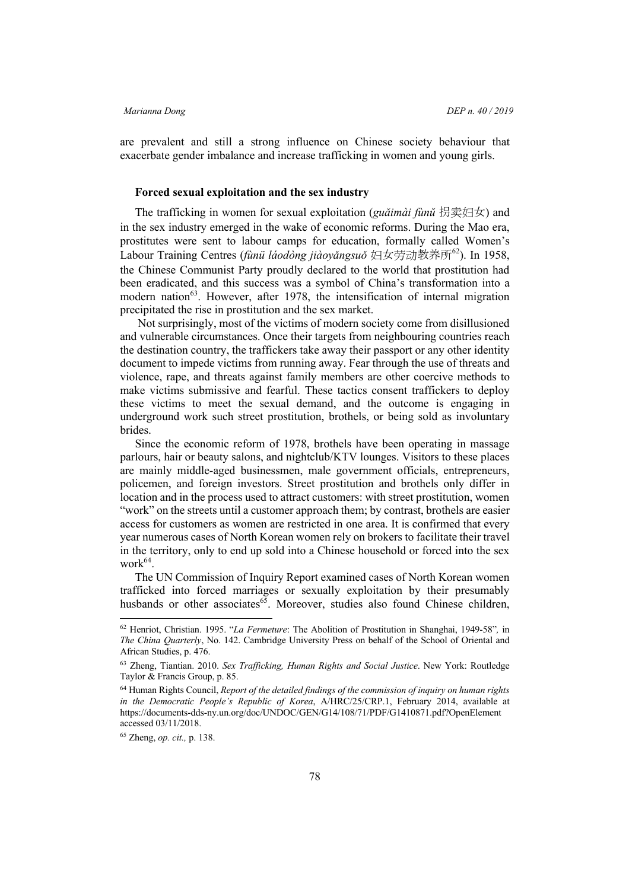are prevalent and still a strong influence on Chinese society behaviour that exacerbate gender imbalance and increase trafficking in women and young girls.

# **Forced sexual exploitation and the sex industry**

The trafficking in women for sexual exploitation (*guǎimài fùnŭ* 拐卖妇女) and in the sex industry emerged in the wake of economic reforms. During the Mao era, prostitutes were sent to labour camps for education, formally called Women's Labour Training Centres (*fùnü láodòng jiàoyǎngsuǒ* 妇女劳动教养所62). In 1958, the Chinese Communist Party proudly declared to the world that prostitution had been eradicated, and this success was a symbol of China's transformation into a modern nation<sup>63</sup>. However, after 1978, the intensification of internal migration precipitated the rise in prostitution and the sex market.

Not surprisingly, most of the victims of modern society come from disillusioned and vulnerable circumstances. Once their targets from neighbouring countries reach the destination country, the traffickers take away their passport or any other identity document to impede victims from running away. Fear through the use of threats and violence, rape, and threats against family members are other coercive methods to make victims submissive and fearful. These tactics consent traffickers to deploy these victims to meet the sexual demand, and the outcome is engaging in underground work such street prostitution, brothels, or being sold as involuntary brides.

Since the economic reform of 1978, brothels have been operating in massage parlours, hair or beauty salons, and nightclub/KTV lounges. Visitors to these places are mainly middle-aged businessmen, male government officials, entrepreneurs, policemen, and foreign investors. Street prostitution and brothels only differ in location and in the process used to attract customers: with street prostitution, women "work" on the streets until a customer approach them; by contrast, brothels are easier access for customers as women are restricted in one area. It is confirmed that every year numerous cases of North Korean women rely on brokers to facilitate their travel in the territory, only to end up sold into a Chinese household or forced into the sex work $64$ .

The UN Commission of Inquiry Report examined cases of North Korean women trafficked into forced marriages or sexually exploitation by their presumably husbands or other associates<sup> $65$ </sup>. Moreover, studies also found Chinese children,

 <sup>62</sup> Henriot, Christian. 1995. "*La Fermeture*: The Abolition of Prostitution in Shanghai, 1949-58"*,* in *The China Quarterly*, No. 142. Cambridge University Press on behalf of the School of Oriental and African Studies, p. 476.

<sup>63</sup> Zheng, Tiantian. 2010. *Sex Trafficking, Human Rights and Social Justice*. New York: Routledge Taylor & Francis Group, p. 85.

<sup>64</sup> Human Rights Council, *Report of the detailed findings of the commission of inquiry on human rights in the Democratic People's Republic of Korea*, A/HRC/25/CRP.1, February 2014, available at https://documents-dds-ny.un.org/doc/UNDOC/GEN/G14/108/71/PDF/G1410871.pdf?OpenElement accessed 03/11/2018.

<sup>65</sup> Zheng, *op. cit.,* p. 138.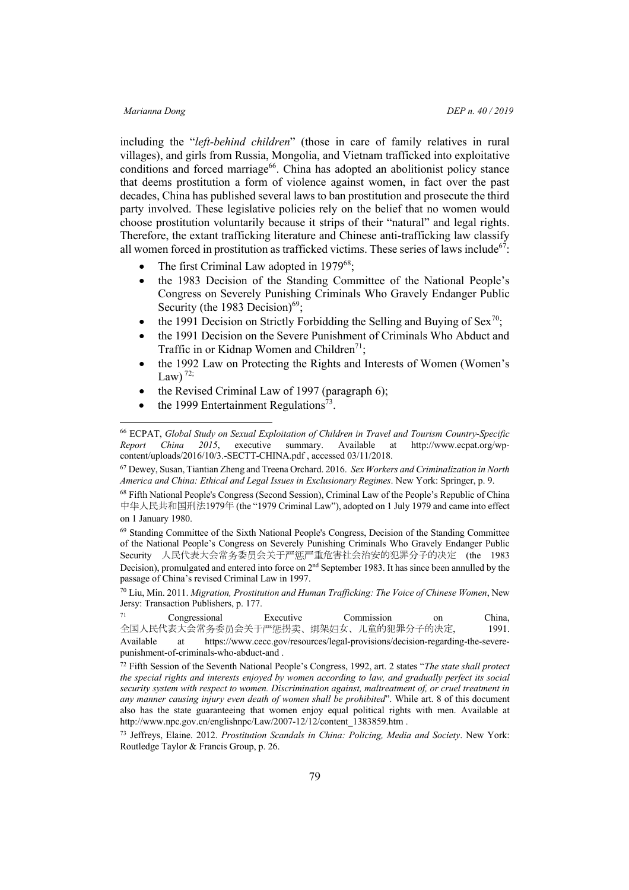including the "*left-behind children*" (those in care of family relatives in rural villages), and girls from Russia, Mongolia, and Vietnam trafficked into exploitative conditions and forced marriage<sup>66</sup>. China has adopted an abolitionist policy stance that deems prostitution a form of violence against women, in fact over the past decades, China has published several laws to ban prostitution and prosecute the third party involved. These legislative policies rely on the belief that no women would choose prostitution voluntarily because it strips of their "natural" and legal rights. Therefore, the extant trafficking literature and Chinese anti-trafficking law classify all women forced in prostitution as trafficked victims. These series of laws include<sup>67</sup>:

- The first Criminal Law adopted in 1979<sup>68</sup>;
- the 1983 Decision of the Standing Committee of the National People's Congress on Severely Punishing Criminals Who Gravely Endanger Public Security (the 1983 Decision) $69$ ;
- the 1991 Decision on Strictly Forbidding the Selling and Buying of Sex<sup>70</sup>;
- the 1991 Decision on the Severe Punishment of Criminals Who Abduct and Traffic in or Kidnap Women and Children<sup>71</sup>;
- the 1992 Law on Protecting the Rights and Interests of Women (Women's Law $V$ <sup>72;</sup>
- the Revised Criminal Law of 1997 (paragraph 6);
- the 1999 Entertainment Regulations<sup>73</sup>.

<sup>67</sup> Dewey, Susan, Tiantian Zheng and Treena Orchard. 2016. *Sex Workers and Criminalization in North America and China: Ethical and Legal Issues in Exclusionary Regimes*. New York: Springer, p. 9.

<sup>68</sup> Fifth National People's Congress (Second Session), Criminal Law of the People's Republic of China 中华人民共和国刑法1979年 (the "1979 Criminal Law"), adopted on 1 July 1979 and came into effect on 1 January 1980.

<sup>69</sup> Standing Committee of the Sixth National People's Congress, Decision of the Standing Committee of the National People's Congress on Severely Punishing Criminals Who Gravely Endanger Public Security 人民代表大会常务委员会关于严惩严重危害社会治安的犯罪分子的决定 (the 1983 Decision), promulgated and entered into force on 2nd September 1983. It has since been annulled by the passage of China's revised Criminal Law in 1997.

<sup>70</sup> Liu, Min. 2011. *Migration, Prostitution and Human Trafficking: The Voice of Chinese Women*, New Jersy: Transaction Publishers, p. 177.

| 71                                      | Congressional |  | Executive                                                                      |  | Commission | 0n | China. |
|-----------------------------------------|---------------|--|--------------------------------------------------------------------------------|--|------------|----|--------|
|                                         |               |  | 全国人民代表大会常务委员会关于严惩拐卖、绑架妇女、儿童的犯罪分子的决定,                                           |  |            |    | 1991.  |
| Available                               | at            |  | https://www.cecc.gov/resources/legal-provisions/decision-regarding-the-severe- |  |            |    |        |
| punishment-of-criminals-who-abduct-and. |               |  |                                                                                |  |            |    |        |

<sup>72</sup> Fifth Session of the Seventh National People's Congress, 1992, art. 2 states "*The state shall protect the special rights and interests enjoyed by women according to law, and gradually perfect its social security system with respect to women. Discrimination against, maltreatment of, or cruel treatment in any manner causing injury even death of women shall be prohibited*". While art. 8 of this document also has the state guaranteeing that women enjoy equal political rights with men. Available at http://www.npc.gov.cn/englishnpc/Law/2007-12/12/content\_1383859.htm .

<sup>73</sup> Jeffreys, Elaine. 2012. *Prostitution Scandals in China: Policing, Media and Society*. New York: Routledge Taylor & Francis Group, p. 26.

 <sup>66</sup> ECPAT, *Global Study on Sexual Exploitation of Children in Travel and Tourism Country-Specific Report China 2015*, executive summary. Available at http://www.ecpat.org/wpcontent/uploads/2016/10/3.-SECTT-CHINA.pdf , accessed 03/11/2018.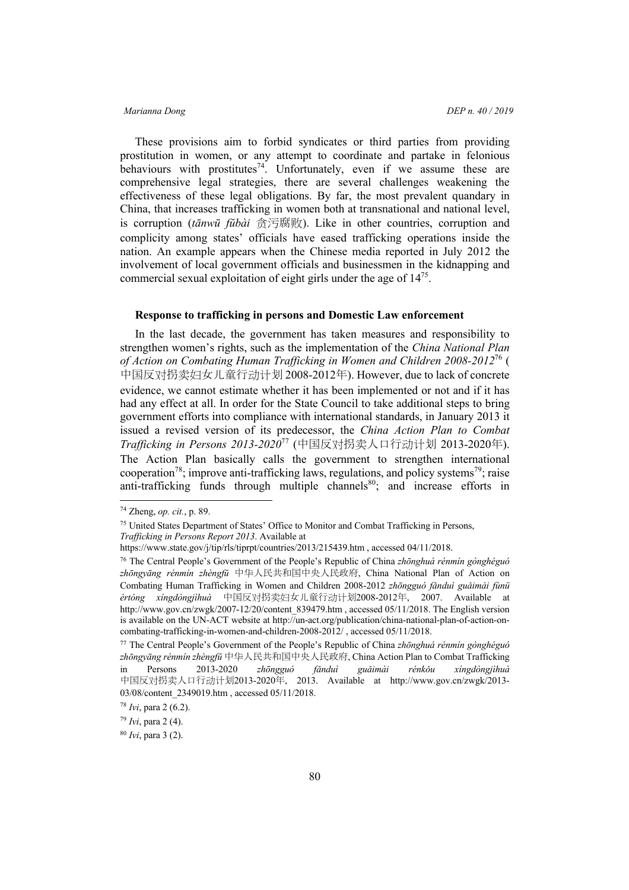These provisions aim to forbid syndicates or third parties from providing prostitution in women, or any attempt to coordinate and partake in felonious behaviours with prostitutes<sup>74</sup>. Unfortunately, even if we assume these are comprehensive legal strategies, there are several challenges weakening the effectiveness of these legal obligations. By far, the most prevalent quandary in China, that increases trafficking in women both at transnational and national level, is corruption (*tānwū fŭbài* 贪污腐败). Like in other countries, corruption and complicity among states' officials have eased trafficking operations inside the nation. An example appears when the Chinese media reported in July 2012 the involvement of local government officials and businessmen in the kidnapping and commercial sexual exploitation of eight girls under the age of  $14^{75}$ .

### **Response to trafficking in persons and Domestic Law enforcement**

In the last decade, the government has taken measures and responsibility to strengthen women's rights, such as the implementation of the *China National Plan of Action on Combating Human Trafficking in Women and Children 2008-2012*<sup>76</sup> ( 中国反对拐卖妇女儿童行动计划 2008-2012年). However, due to lack of concrete evidence, we cannot estimate whether it has been implemented or not and if it has had any effect at all. In order for the State Council to take additional steps to bring government efforts into compliance with international standards, in January 2013 it issued a revised version of its predecessor, the *China Action Plan to Combat Trafficking in Persons 2013-2020*<sup>77</sup> (中国反对拐卖人口行动计划 2013-2020年). The Action Plan basically calls the government to strengthen international cooperation<sup>78</sup>; improve anti-trafficking laws, regulations, and policy systems<sup>79</sup>; raise anti-trafficking funds through multiple channels<sup>80</sup>; and increase efforts in

 <sup>74</sup> Zheng, *op. cit.*, p. 89.

<sup>75</sup> United States Department of States' Office to Monitor and Combat Trafficking in Persons,

*Trafficking in Persons Report 2013*. Available at

https://www.state.gov/j/tip/rls/tiprpt/countries/2013/215439.htm , accessed 04/11/2018.

<sup>76</sup> The Central People's Government of the People's Republic of China *zhōnghuá rénmín gònghéguó zhōngyāng rénmín zhèngfŭ* 中华人民共和国中央人民政府, China National Plan of Action on Combating Human Trafficking in Women and Children 2008-2012 *zhōngguó fǎnduì guǎimài fùnü értóng xíngdòngjìhuà* 中国反对拐卖妇女儿童行动计划2008-2012年, 2007. Available at http://www.gov.cn/zwgk/2007-12/20/content\_839479.htm , accessed 05/11/2018. The English version is available on the UN-ACT website at http://un-act.org/publication/china-national-plan-of-action-oncombating-trafficking-in-women-and-children-2008-2012/ , accessed 05/11/2018.

<sup>77</sup> The Central People's Government of the People's Republic of China *zhōnghuá rénmín gònghéguó zhōngyāng rénmín zhèngfŭ* 中华人民共和国中央人民政府, China Action Plan to Combat Trafficking in Persons 2013-2020 *zhōngguó fǎnduì guǎimài rénkǒu xíngdòngjìhuà* 中国反对拐卖人口行动计划2013-2020年, 2013. Available at http://www.gov.cn/zwgk/2013- 03/08/content\_2349019.htm , accessed 05/11/2018.

<sup>78</sup> *Ivi*, para 2 (6.2).

<sup>79</sup> *Ivi*, para 2 (4).

<sup>80</sup> *Ivi*, para 3 (2).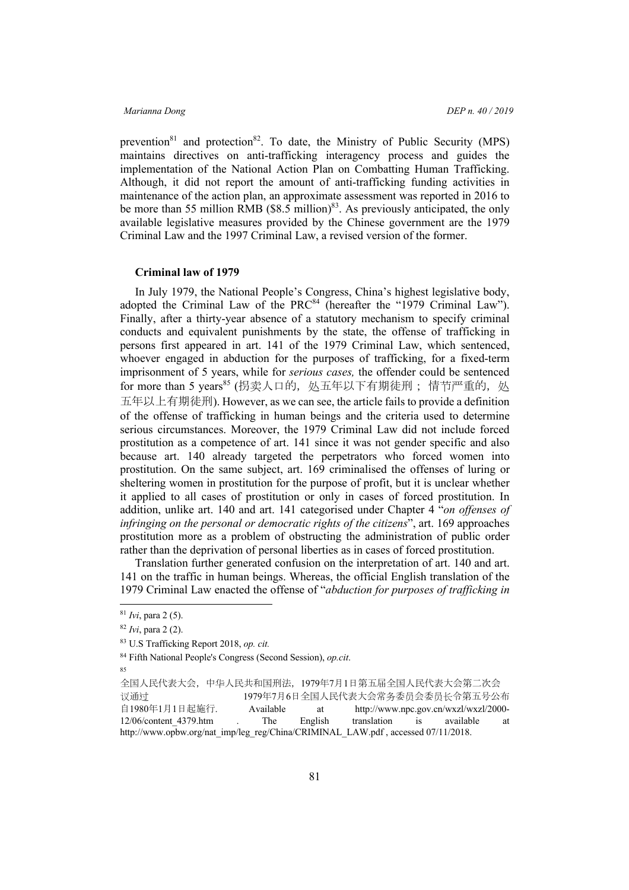prevention<sup>81</sup> and protection<sup>82</sup>. To date, the Ministry of Public Security (MPS) maintains directives on anti-trafficking interagency process and guides the implementation of the National Action Plan on Combatting Human Trafficking. Although, it did not report the amount of anti-trafficking funding activities in maintenance of the action plan, an approximate assessment was reported in 2016 to be more than 55 million RMB ( $$8.5$  million)<sup>83</sup>. As previously anticipated, the only available legislative measures provided by the Chinese government are the 1979 Criminal Law and the 1997 Criminal Law, a revised version of the former.

### **Criminal law of 1979**

In July 1979, the National People's Congress, China's highest legislative body, adopted the Criminal Law of the PRC $84$  (hereafter the "1979 Criminal Law"). Finally, after a thirty-year absence of a statutory mechanism to specify criminal conducts and equivalent punishments by the state, the offense of trafficking in persons first appeared in art. 141 of the 1979 Criminal Law, which sentenced, whoever engaged in abduction for the purposes of trafficking, for a fixed-term imprisonment of 5 years, while for *serious cases,* the offender could be sentenced for more than 5 years<sup>85</sup> (拐卖人口的, 处五年以下有期徒刑; 情节严重的, 处 五年以上有期徒刑). However, as we can see, the article fails to provide a definition of the offense of trafficking in human beings and the criteria used to determine serious circumstances. Moreover, the 1979 Criminal Law did not include forced prostitution as a competence of art. 141 since it was not gender specific and also because art. 140 already targeted the perpetrators who forced women into prostitution. On the same subject, art. 169 criminalised the offenses of luring or sheltering women in prostitution for the purpose of profit, but it is unclear whether it applied to all cases of prostitution or only in cases of forced prostitution. In addition, unlike art. 140 and art. 141 categorised under Chapter 4 "*on offenses of infringing on the personal or democratic rights of the citizens*", art. 169 approaches prostitution more as a problem of obstructing the administration of public order rather than the deprivation of personal liberties as in cases of forced prostitution.

Translation further generated confusion on the interpretation of art. 140 and art. 141 on the traffic in human beings. Whereas, the official English translation of the 1979 Criminal Law enacted the offense of "*abduction for purposes of trafficking in* 

85

 <sup>81</sup> *Ivi*, para 2 (5).

<sup>82</sup> *Ivi*, para 2 (2).

<sup>83</sup> U.S Trafficking Report 2018, *op. cit.*

<sup>84</sup> Fifth National People's Congress (Second Session), *op.cit*.

全国人民代表大会,中华人民共和国刑法,1979年7月1日第五届全国人民代表大会第二次会 议通过 1979年7月6日全国人民代表大会常务委员会委员长令第五号公布 自1980年1月1日起施行. Available at http://www.npc.gov.cn/wxzl/wxzl/2000- 12/06/content\_4379.htm . The English translation is available at http://www.opbw.org/nat\_imp/leg\_reg/China/CRIMINAL\_LAW.pdf , accessed 07/11/2018.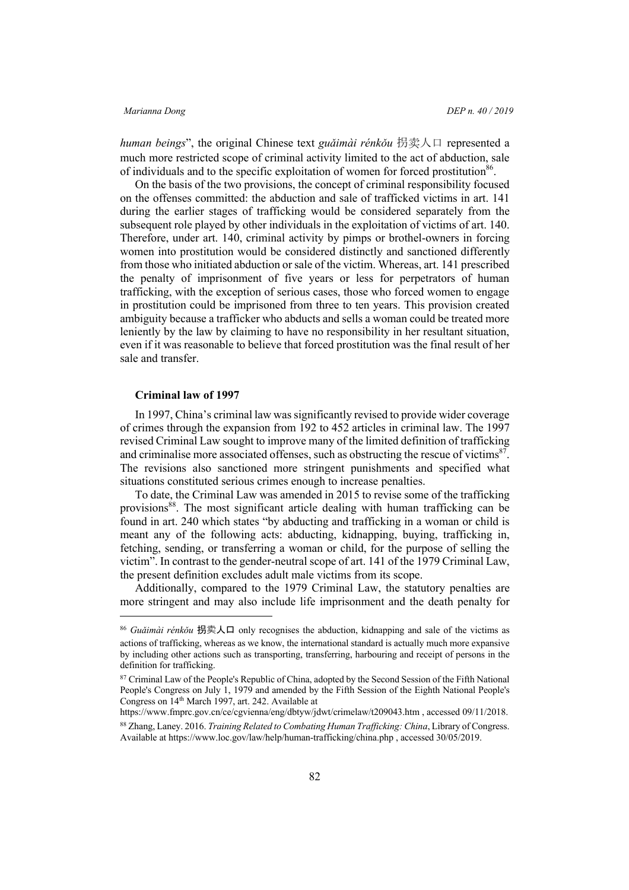*human beings*", the original Chinese text *guǎimài rénkǒu* 拐卖人口 represented a much more restricted scope of criminal activity limited to the act of abduction, sale of individuals and to the specific exploitation of women for forced prostitution<sup>86</sup>.

On the basis of the two provisions, the concept of criminal responsibility focused on the offenses committed: the abduction and sale of trafficked victims in art. 141 during the earlier stages of trafficking would be considered separately from the subsequent role played by other individuals in the exploitation of victims of art. 140. Therefore, under art. 140, criminal activity by pimps or brothel-owners in forcing women into prostitution would be considered distinctly and sanctioned differently from those who initiated abduction or sale of the victim. Whereas, art. 141 prescribed the penalty of imprisonment of five years or less for perpetrators of human trafficking, with the exception of serious cases, those who forced women to engage in prostitution could be imprisoned from three to ten years. This provision created ambiguity because a trafficker who abducts and sells a woman could be treated more leniently by the law by claiming to have no responsibility in her resultant situation, even if it was reasonable to believe that forced prostitution was the final result of her sale and transfer.

### **Criminal law of 1997**

In 1997, China's criminal law was significantly revised to provide wider coverage of crimes through the expansion from 192 to 452 articles in criminal law. The 1997 revised Criminal Law sought to improve many of the limited definition of trafficking and criminalise more associated offenses, such as obstructing the rescue of victims $87$ . The revisions also sanctioned more stringent punishments and specified what situations constituted serious crimes enough to increase penalties.

To date, the Criminal Law was amended in 2015 to revise some of the trafficking provisions<sup>88</sup>. The most significant article dealing with human trafficking can be found in art. 240 which states "by abducting and trafficking in a woman or child is meant any of the following acts: abducting, kidnapping, buying, trafficking in, fetching, sending, or transferring a woman or child, for the purpose of selling the victim". In contrast to the gender-neutral scope of art. 141 of the 1979 Criminal Law, the present definition excludes adult male victims from its scope.

Additionally, compared to the 1979 Criminal Law, the statutory penalties are more stringent and may also include life imprisonment and the death penalty for

 <sup>86</sup> *Guǎimài rénkǒu* <sup>拐</sup>卖人口 only recognises the abduction, kidnapping and sale of the victims as actions of trafficking, whereas as we know, the international standard is actually much more expansive by including other actions such as transporting, transferring, harbouring and receipt of persons in the definition for trafficking.

<sup>&</sup>lt;sup>87</sup> Criminal Law of the People's Republic of China, adopted by the Second Session of the Fifth National People's Congress on July 1, 1979 and amended by the Fifth Session of the Eighth National People's Congress on 14th March 1997, art. 242. Available at

https://www.fmprc.gov.cn/ce/cgvienna/eng/dbtyw/jdwt/crimelaw/t209043.htm , accessed 09/11/2018.

<sup>88</sup> Zhang, Laney. 2016. *Training Related to Combating Human Trafficking: China*, Library of Congress. Available at https://www.loc.gov/law/help/human-trafficking/china.php , accessed 30/05/2019.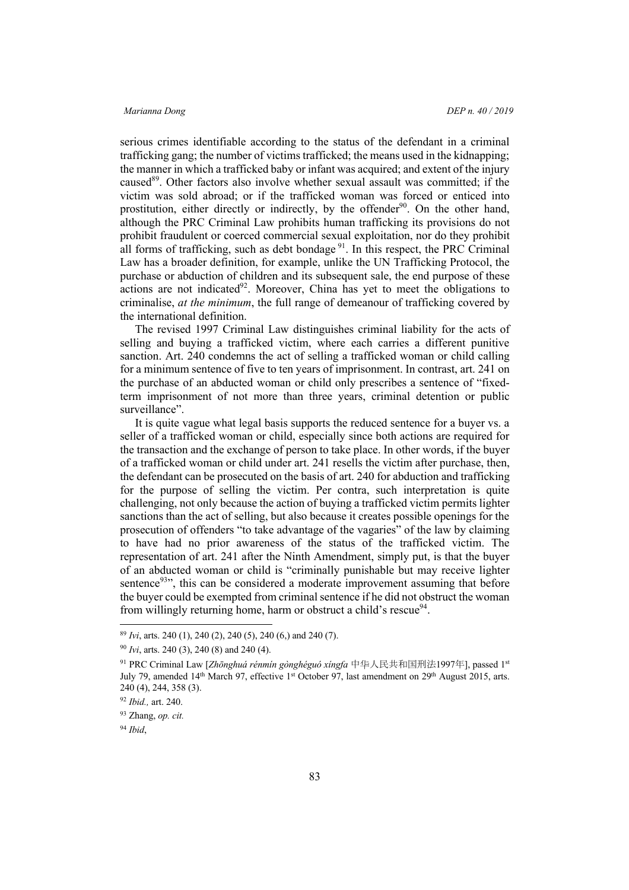serious crimes identifiable according to the status of the defendant in a criminal trafficking gang; the number of victims trafficked; the means used in the kidnapping; the manner in which a trafficked baby or infant was acquired; and extent of the injury caused<sup>89</sup>. Other factors also involve whether sexual assault was committed; if the victim was sold abroad; or if the trafficked woman was forced or enticed into prostitution, either directly or indirectly, by the offender $90$ . On the other hand, although the PRC Criminal Law prohibits human trafficking its provisions do not prohibit fraudulent or coerced commercial sexual exploitation, nor do they prohibit all forms of trafficking, such as debt bondage<sup>91</sup>. In this respect, the PRC Criminal Law has a broader definition, for example, unlike the UN Trafficking Protocol, the purchase or abduction of children and its subsequent sale, the end purpose of these  $\alpha$  actions are not indicated<sup>92</sup>. Moreover, China has yet to meet the obligations to criminalise, *at the minimum*, the full range of demeanour of trafficking covered by the international definition.

The revised 1997 Criminal Law distinguishes criminal liability for the acts of selling and buying a trafficked victim, where each carries a different punitive sanction. Art. 240 condemns the act of selling a trafficked woman or child calling for a minimum sentence of five to ten years of imprisonment. In contrast, art. 241 on the purchase of an abducted woman or child only prescribes a sentence of "fixedterm imprisonment of not more than three years, criminal detention or public surveillance".

It is quite vague what legal basis supports the reduced sentence for a buyer vs. a seller of a trafficked woman or child, especially since both actions are required for the transaction and the exchange of person to take place. In other words, if the buyer of a trafficked woman or child under art. 241 resells the victim after purchase, then, the defendant can be prosecuted on the basis of art. 240 for abduction and trafficking for the purpose of selling the victim. Per contra, such interpretation is quite challenging, not only because the action of buying a trafficked victim permits lighter sanctions than the act of selling, but also because it creates possible openings for the prosecution of offenders "to take advantage of the vagaries" of the law by claiming to have had no prior awareness of the status of the trafficked victim. The representation of art. 241 after the Ninth Amendment, simply put, is that the buyer of an abducted woman or child is "criminally punishable but may receive lighter sentence $93$ , this can be considered a moderate improvement assuming that before the buyer could be exempted from criminal sentence if he did not obstruct the woman from willingly returning home, harm or obstruct a child's rescue $94$ .

 <sup>89</sup> *Ivi*, arts. 240 (1), 240 (2), 240 (5), 240 (6,) and 240 (7).

<sup>90</sup> *Ivi*, arts. 240 (3), 240 (8) and 240 (4).

<sup>91</sup> PRC Criminal Law [*Zhōnghuá rénmín gònghéguó xíngfa* 中华人民共和国刑法1997年], passed 1st July 79, amended 14<sup>th</sup> March 97, effective 1<sup>st</sup> October 97, last amendment on 29<sup>th</sup> August 2015, arts. 240 (4), 244, 358 (3).

<sup>92</sup> *Ibid.,* art. 240.

<sup>93</sup> Zhang, *op. cit.*

<sup>94</sup> *Ibid*,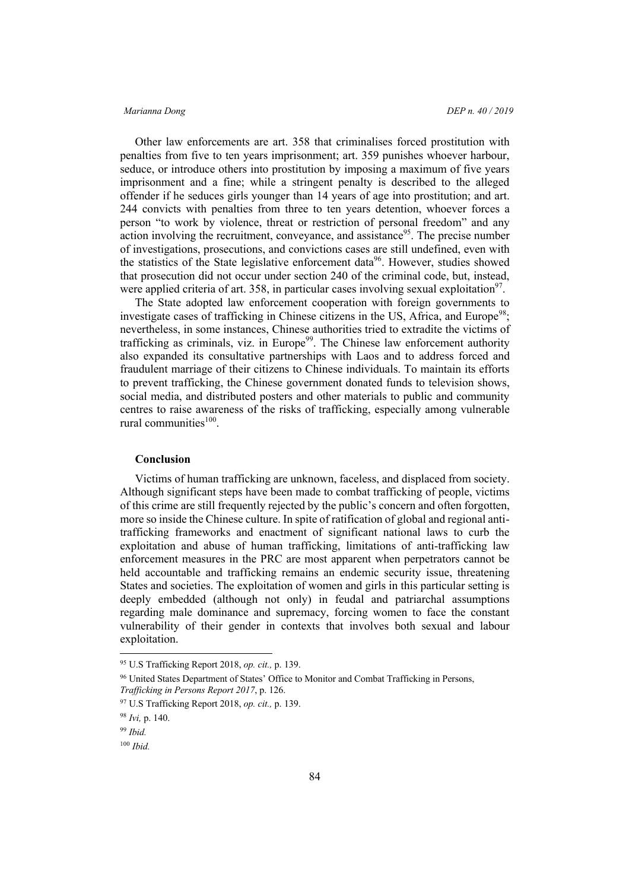Other law enforcements are art. 358 that criminalises forced prostitution with penalties from five to ten years imprisonment; art. 359 punishes whoever harbour, seduce, or introduce others into prostitution by imposing a maximum of five years imprisonment and a fine; while a stringent penalty is described to the alleged offender if he seduces girls younger than 14 years of age into prostitution; and art. 244 convicts with penalties from three to ten years detention, whoever forces a person "to work by violence, threat or restriction of personal freedom" and any action involving the recruitment, conveyance, and assistance<sup>95</sup>. The precise number of investigations, prosecutions, and convictions cases are still undefined, even with the statistics of the State legislative enforcement data<sup>96</sup>. However, studies showed that prosecution did not occur under section 240 of the criminal code, but, instead, were applied criteria of art. 358, in particular cases involving sexual exploitation<sup>97</sup>.

The State adopted law enforcement cooperation with foreign governments to investigate cases of trafficking in Chinese citizens in the US, Africa, and Europe<sup>98</sup>; nevertheless, in some instances, Chinese authorities tried to extradite the victims of trafficking as criminals, viz. in Europe<sup>99</sup>. The Chinese law enforcement authority also expanded its consultative partnerships with Laos and to address forced and fraudulent marriage of their citizens to Chinese individuals. To maintain its efforts to prevent trafficking, the Chinese government donated funds to television shows, social media, and distributed posters and other materials to public and community centres to raise awareness of the risks of trafficking, especially among vulnerable rural communities $100$ .

# **Conclusion**

Victims of human trafficking are unknown, faceless, and displaced from society. Although significant steps have been made to combat trafficking of people, victims of this crime are still frequently rejected by the public's concern and often forgotten, more so inside the Chinese culture. In spite of ratification of global and regional antitrafficking frameworks and enactment of significant national laws to curb the exploitation and abuse of human trafficking, limitations of anti-trafficking law enforcement measures in the PRC are most apparent when perpetrators cannot be held accountable and trafficking remains an endemic security issue, threatening States and societies. The exploitation of women and girls in this particular setting is deeply embedded (although not only) in feudal and patriarchal assumptions regarding male dominance and supremacy, forcing women to face the constant vulnerability of their gender in contexts that involves both sexual and labour exploitation.

 <sup>95</sup> U.S Trafficking Report 2018, *op. cit.,* p. 139.

<sup>96</sup> United States Department of States' Office to Monitor and Combat Trafficking in Persons, *Trafficking in Persons Report 2017*, p. 126.

<sup>97</sup> U.S Trafficking Report 2018, *op. cit.,* p. 139.

<sup>98</sup> *Ivi,* p. 140.

<sup>99</sup> *Ibid.*

<sup>100</sup> *Ibid.*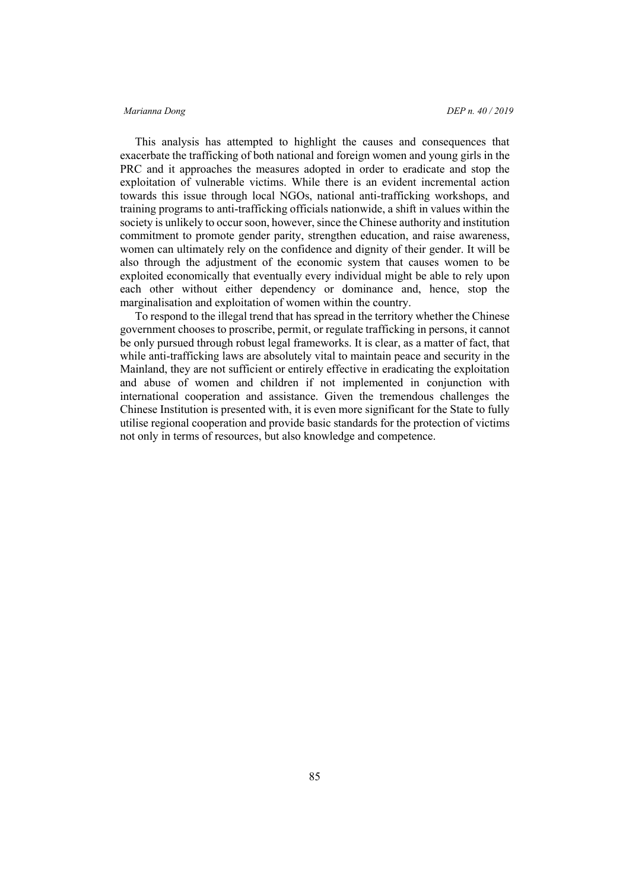This analysis has attempted to highlight the causes and consequences that exacerbate the trafficking of both national and foreign women and young girls in the PRC and it approaches the measures adopted in order to eradicate and stop the exploitation of vulnerable victims. While there is an evident incremental action towards this issue through local NGOs, national anti-trafficking workshops, and training programs to anti-trafficking officials nationwide, a shift in values within the society is unlikely to occur soon, however, since the Chinese authority and institution commitment to promote gender parity, strengthen education, and raise awareness, women can ultimately rely on the confidence and dignity of their gender. It will be also through the adjustment of the economic system that causes women to be exploited economically that eventually every individual might be able to rely upon each other without either dependency or dominance and, hence, stop the marginalisation and exploitation of women within the country.

To respond to the illegal trend that has spread in the territory whether the Chinese government chooses to proscribe, permit, or regulate trafficking in persons, it cannot be only pursued through robust legal frameworks. It is clear, as a matter of fact, that while anti-trafficking laws are absolutely vital to maintain peace and security in the Mainland, they are not sufficient or entirely effective in eradicating the exploitation and abuse of women and children if not implemented in conjunction with international cooperation and assistance. Given the tremendous challenges the Chinese Institution is presented with, it is even more significant for the State to fully utilise regional cooperation and provide basic standards for the protection of victims not only in terms of resources, but also knowledge and competence.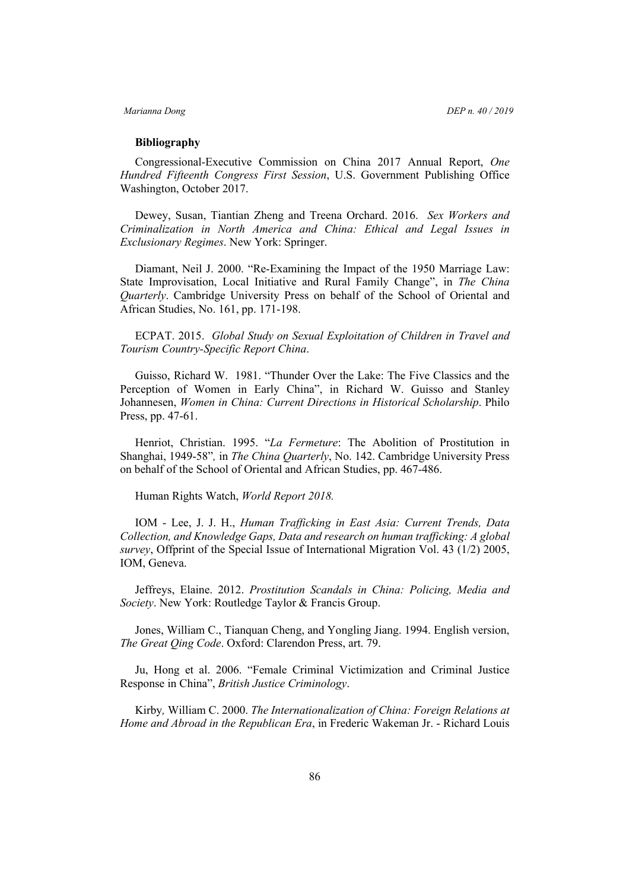### **Bibliography**

Congressional-Executive Commission on China 2017 Annual Report, *One Hundred Fifteenth Congress First Session*, U.S. Government Publishing Office Washington, October 2017.

Dewey, Susan, Tiantian Zheng and Treena Orchard. 2016. *Sex Workers and Criminalization in North America and China: Ethical and Legal Issues in Exclusionary Regimes*. New York: Springer.

Diamant, Neil J. 2000. "Re-Examining the Impact of the 1950 Marriage Law: State Improvisation, Local Initiative and Rural Family Change", in *The China Quarterly*. Cambridge University Press on behalf of the School of Oriental and African Studies, No. 161, pp. 171-198.

ECPAT. 2015. *Global Study on Sexual Exploitation of Children in Travel and Tourism Country-Specific Report China*.

Guisso, Richard W. 1981. "Thunder Over the Lake: The Five Classics and the Perception of Women in Early China", in Richard W. Guisso and Stanley Johannesen, *Women in China: Current Directions in Historical Scholarship*. Philo Press, pp. 47-61.

Henriot, Christian. 1995. "*La Fermeture*: The Abolition of Prostitution in Shanghai, 1949-58"*,* in *The China Quarterly*, No. 142. Cambridge University Press on behalf of the School of Oriental and African Studies, pp. 467-486.

Human Rights Watch, *World Report 2018.*

IOM - Lee, J. J. H., *Human Trafficking in East Asia: Current Trends, Data Collection, and Knowledge Gaps, Data and research on human trafficking: A global survey*, Offprint of the Special Issue of International Migration Vol. 43 (1/2) 2005, IOM, Geneva.

Jeffreys, Elaine. 2012. *Prostitution Scandals in China: Policing, Media and Society*. New York: Routledge Taylor & Francis Group.

Jones, William C., Tianquan Cheng, and Yongling Jiang. 1994. English version, *The Great Qing Code*. Oxford: Clarendon Press, art. 79.

Ju, Hong et al. 2006. "Female Criminal Victimization and Criminal Justice Response in China", *British Justice Criminology*.

Kirby*,* William C. 2000. *The Internationalization of China: Foreign Relations at Home and Abroad in the Republican Era*, in Frederic Wakeman Jr. - Richard Louis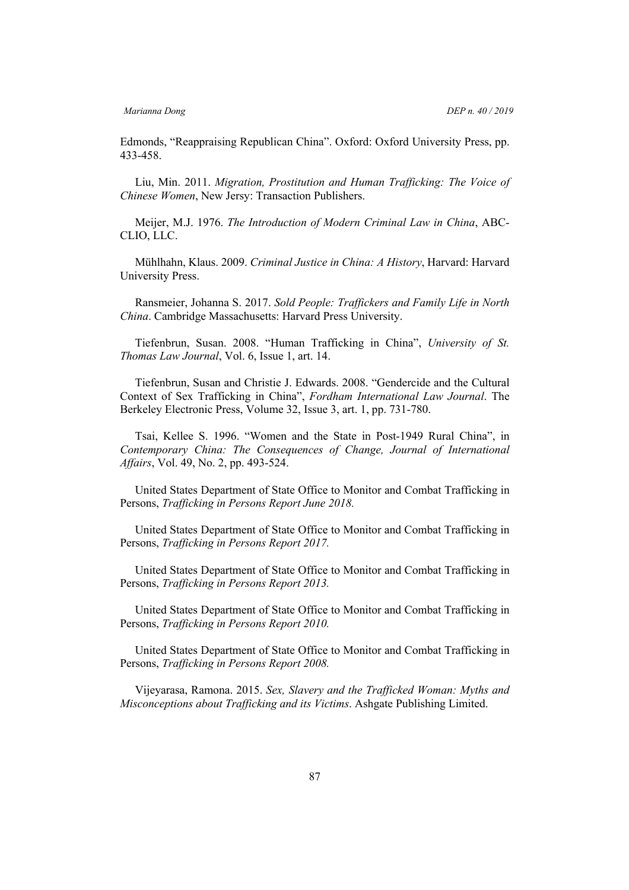Edmonds, "Reappraising Republican China". Oxford: Oxford University Press, pp. 433-458.

Liu, Min. 2011. *Migration, Prostitution and Human Trafficking: The Voice of Chinese Women*, New Jersy: Transaction Publishers.

Meijer, M.J. 1976. *The Introduction of Modern Criminal Law in China*, ABC-CLIO, LLC.

Mühlhahn, Klaus. 2009. *Criminal Justice in China: A History*, Harvard: Harvard University Press.

Ransmeier, Johanna S. 2017. *Sold People: Traffickers and Family Life in North China*. Cambridge Massachusetts: Harvard Press University.

Tiefenbrun, Susan. 2008. "Human Trafficking in China", *University of St. Thomas Law Journal*, Vol. 6, Issue 1, art. 14.

Tiefenbrun, Susan and Christie J. Edwards. 2008. "Gendercide and the Cultural Context of Sex Trafficking in China", *Fordham International Law Journal*. The Berkeley Electronic Press, Volume 32, Issue 3, art. 1, pp. 731-780.

Tsai, Kellee S. 1996. "Women and the State in Post-1949 Rural China", in *Contemporary China: The Consequences of Change, Journal of International Affairs*, Vol. 49, No. 2, pp. 493-524.

United States Department of State Office to Monitor and Combat Trafficking in Persons, *Trafficking in Persons Report June 2018.*

United States Department of State Office to Monitor and Combat Trafficking in Persons, *Trafficking in Persons Report 2017.*

United States Department of State Office to Monitor and Combat Trafficking in Persons, *Trafficking in Persons Report 2013.*

United States Department of State Office to Monitor and Combat Trafficking in Persons, *Trafficking in Persons Report 2010.*

United States Department of State Office to Monitor and Combat Trafficking in Persons, *Trafficking in Persons Report 2008.*

Vijeyarasa, Ramona. 2015. *Sex, Slavery and the Trafficked Woman: Myths and Misconceptions about Trafficking and its Victims*. Ashgate Publishing Limited.